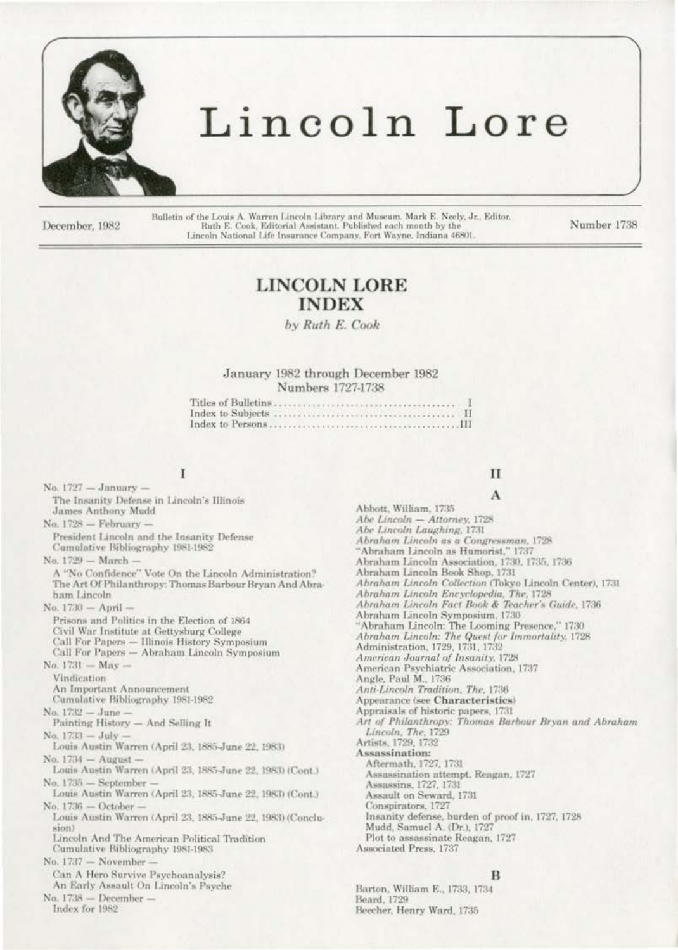

# Lincoln Lore

December, 1982

Bulletin of the Louis A. Warren Lincoln Library and Museum. Mark E. Neely, Jr., Editor. Ruth E. Cook, Editorial Assistant. Published each month by the Lincoln National Life Insurance Company, Fort Wayne, Indiana 46801

Number 1738

# **LINCOLN LORE INDEX**

by Ruth E. Cook

January 1982 through December 1982 Numbers 1727-1738

# I

No.  $1727 - January -$ The Insanity Defense in Lincoln's Illinois James Anthony Mudd No. 1728 - February -President Lincoln and the Insanity Defense Cumulative Bibliography 1981-1982 No. 1729 - March -A "No Confidence" Vote On the Lincoln Administration? The Art Of Philanthropy: Thomas Barbour Bryan And Abraham Lincoln No. 1730 - April -Prisons and Politics in the Election of 1864 Civil War Institute at Gettysburg College Call For Papers — Illinois History Symposium<br>Call For Papers — Abraham Lincoln Symposium No.  $1731 - May -$ Vindication An Important Announcement Cumulative Bibliography 1981-1982 No. 1732 - June -Painting History - And Selling It No. 1733 - July Louis Austin Warren (April 23, 1885-June 22, 1983) No. 1734 - August -Louis Austin Warren (April 23, 1885-June 22, 1983) (Cont.) No. 1735 - September Louis Austin Warren (April 23, 1885-June 22, 1983) (Cont.)  $No. 1736 - October$ Louis Austin Warren (April 23, 1885-June 22, 1983) (Conclusion) Lincoln And The American Political Tradition Cumulative Bibliography 1981-1983 No. 1737 - November Can A Hero Survive Psychoanalysis? An Early Assault On Lincoln's Psyche No. 1738 - December -Index for 1982

# $\mathbf{H}$

A Abbott, William, 1735 Abe Lincoln - Attorney, 1728 Abe Lincoln Laughing, 1731 Abraham Lincoln as a Congressman, 1728  $\emph{``Abraham Lincoln as Humorist,'' 1737} \emph{Abraham Lincoln Association, 1730, 1735, 1736}$ Abraham Lincoln Book Shop, 1731 Abraham Lincoln Collection (Tokyo Lincoln Center), 1731 Abraham Lincoln Encyclopedia, The, 1728 Abraham Lincoln Fact Book & Teacher's Guide, 1736 Abraham Lincoln Symposium, 1730<br>"Abraham Lincoln: The Looming Presence," 1730 Abraham Lincoln: The Quest for Immortality, 1728 Administration, 1729, 1731, 1732 American Journal of Insanity, 1728 American Psychiatric Association, 1737 Angle, Paul M., 1736 Anti-Lincoln Tradition, The, 1736 Appearance (see Characteristics) Appraisals of historic papers, 1731 Art of Philanthropy: Thomas Barbour Bryan and Abraham Lincoln, The, 1729 Artists, 1729, 1732 Assassination: Aftermath, 1727, 1731 Assassination attempt, Reagan, 1727 Assassins, 1727, 1731 Assault on Seward, 1731 Conspirators, 1727 Insanity defense, burden of proof in, 1727, 1728 Mudd, Samuel A. (Dr.), 1727 Plot to assassinate Reagan, 1727 Associated Press, 1737

#### B

Barton, William E., 1733, 1734 Beard, 1729 Beecher, Henry Ward, 1735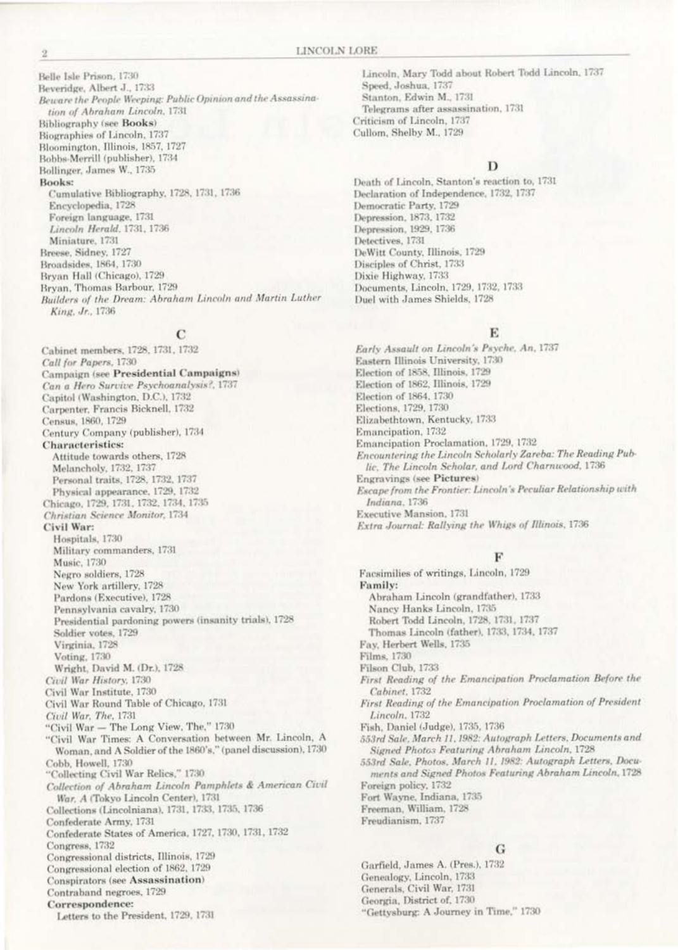Belle Isle Prison, 1730 Beveridge, Albert J., 1733 Beware the People Weeping: Public Opinion and the Assassination of Abraham Lincoln, 1731 **Bibliography** (see Books) Biographies of Lincoln, 1737 Bloomington, Illinois, 1857, 1727 Bobbs-Merrill (publisher), 1734 Bollinger, James W., 1735 **Books:** Cumulative Bibliography, 1728, 1731, 1736 Encyclopedia, 1728 Foreign language, 1731 Lincoln Herald, 1731, 1736 Miniature, 1731 Breese, Sidney, 1727 Broadsides, 1864, 1730 Bryan Hall (Chicago), 1729 Bryan, Thomas Barbour, 1729 Builders of the Dream: Abraham Lincoln and Martin Luther King, Jr., 1736

### C

Cabinet members, 1728, 1731, 1732 Call for Papers, 1730 Campaign (see Presidential Campaigns) Can a Hero Survive Psychoanalysis?, 1737 Capitol (Washington, D.C.), 1732 Carpenter, Francis Bicknell, 1732 Census, 1860, 1729 Century Company (publisher), 1734 **Characteristics:** Attitude towards others, 1728 Melancholy, 1732, 1737 Personal traits, 1728, 1732, 1737 Physical appearance, 1729, 1732 Chicago, 1729, 1731, 1732, 1734, 1735 Christian Science Monitor, 1734 Civil War: Hospitals, 1730 Military commanders, 1731 Music, 1730 Negro soldiers, 1728 New York artillery, 1728 Pardons (Executive), 1728 Pennsylvania cavalry, 1730 Presidential pardoning powers (insanity trials), 1728 Soldier votes, 1729 Virginia, 1728 Voting, 1730 Wright, David M. (Dr.), 1728. Civil War History, 1730 Civil War Institute, 1730 Civil War Round Table of Chicago, 1731 Civil War, The, 1731 "Civil War - The Long View, The," 1730 "Civil War Times: A Conversation between Mr. Lincoln, A Woman, and A Soldier of the 1860's," (panel discussion), 1730 Cobb, Howell, 1730 "Collecting Civil War Relics," 1730 Collection of Abraham Lincoln Pamphlets & American Civil War, A (Tokyo Lincoln Center), 1731 Collections (Lincolniana), 1731, 1733, 1735, 1736 Confederate Army, 1731 Confederate States of America, 1727, 1730, 1731, 1732 Congress, 1732 Congressional districts, Illinois, 1729 Congressional election of 1862, 1729 Conspirators (see Assassination) Contraband negroes, 1729 Correspondence: Letters to the President, 1729, 1731

Lincoln, Mary Todd about Robert Todd Lincoln, 1737 Speed, Joshua, 1737 Stanton, Edwin M., 1731 Telegrams after assassination, 1731 Criticism of Lincoln, 1737 Cullom, Shelby M., 1729

# D

Death of Lincoln, Stanton's reaction to, 1731 Declaration of Independence, 1732, 1737 Democratic Party, 1729 Depression, 1873, 1732 Depression, 1929, 1736 Detectives, 1731 DeWitt County, Illinois, 1729 Disciples of Christ, 1733 Dixie Highway, 1733 Documents, Lincoln, 1729, 1732, 1733 Duel with James Shields, 1728

# E

Early Assault on Lincoln's Psyche, An, 1737 Eastern Illinois University, 1730 Election of 1858, Illinois, 1729 Election of 1862, Illinois, 1729 Election of 1864, 1730 Elections, 1729, 1730 Elizabethtown, Kentucky, 1733 Emancipation, 1732 Emancipation Proclamation, 1729, 1732 Encountering the Lincoln Scholarly Zareba: The Reading Public, The Lincoln Scholar, and Lord Charnwood, 1736 **Engravings** (see Pictures) Escape from the Frontier: Lincoln's Peculiar Relationship with Indiana, 1736 Executive Mansion, 1731 Extra Journal: Rallying the Whigs of Illinois, 1736

# F

Facsimilies of writings, Lincoln, 1729 Family: Abraham Lincoln (grandfather), 1733 Nancy Hanks Lincoln, 1735 Robert Todd Lincoln, 1728, 1731, 1737 Thomas Lincoln (father), 1733, 1734, 1737 Fay, Herbert Wells, 1735 Films, 1730 Filson Club, 1733 First Reading of the Emancipation Proclamation Before the Cabinet, 1732 First Reading of the Emancipation Proclamation of President Lincoln, 1732 Fish, Daniel (Judge), 1735, 1736 553rd Sale, March 11, 1982: Autograph Letters, Documents and Signed Photos Featuring Abraham Lincoln, 1728 553rd Sale, Photos, March 11, 1982: Autograph Letters, Documents and Signed Photos Featuring Abraham Lincoln, 1728 Foreign policy, 1732 Fort Wayne, Indiana, 1735 Freeman, William, 1728 Freudianism, 1737

# G

Garfield, James A. (Pres.), 1732 Genealogy, Lincoln, 1733 Generals, Civil War, 1731 Georgia, District of, 1730 "Gettysburg: A Journey in Time," 1730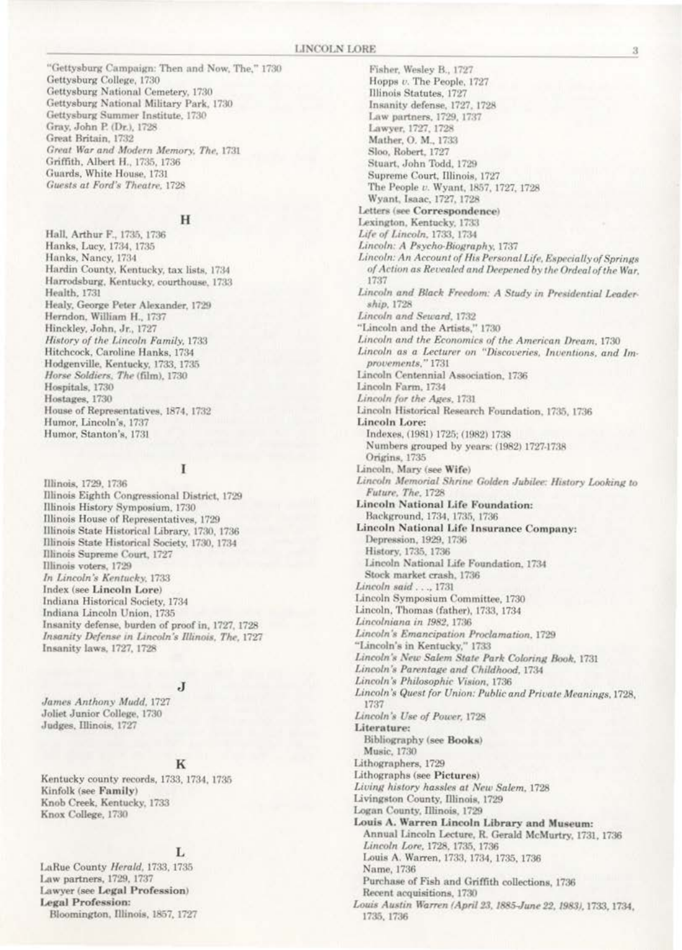"Gettysburg Campaign: Then and Now, The," 1730 Gettysburg College, 1730 Gettysburg National Cemetery, 1730 Gettysburg National Military Park, 1730 Gettysburg Summer Institute, 1730 Gray, John P. (Dr.), 1728 Great Britain, 1732 Great War and Modern Memory, The, 1731 Griffith, Albert H., 1735, 1736 Guards, White House, 1731 Guests at Ford's Theatre, 1728

# H

Hall, Arthur F., 1735, 1736 Hanks, Lucy, 1734, 1735 Hanks, Nancy, 1734 Hardin County, Kentucky, tax lists, 1734 Harrodsburg, Kentucky, courthouse, 1733 Health, 1731 Healy, George Peter Alexander, 1729 Herndon, William H., 1737 Hinckley, John, Jr., 1727 History of the Lincoln Family, 1733 Hitchcock, Caroline Hanks, 1734 Hodgenville, Kentucky, 1733, 1735 Horse Soldiers, The (film), 1730 Hospitals, 1730 Hostages, 1730 House of Representatives, 1874, 1732 Humor, Lincoln's, 1737 Humor, Stanton's, 1731

# L

Illinois, 1729, 1736 Illinois Eighth Congressional District, 1729 Illinois History Symposium, 1730 Illinois House of Representatives, 1729 Illinois State Historical Library, 1730, 1736 Illinois State Historical Society, 1730, 1734 Illinois Supreme Court, 1727 Illinois voters, 1729 In Lincoln's Kentucky, 1733 Index (see Lincoln Lore) Indiana Historical Society, 1734 Indiana Lincoln Union, 1735 Insanity defense, burden of proof in, 1727, 1728 Insanity Defense in Lincoln's Illinois, The, 1727 Insanity laws, 1727, 1728

#### J.

James Anthony Mudd, 1727 Joliet Junior College, 1730 Judges, Illinois, 1727

# K

Kentucky county records, 1733, 1734, 1735 Kinfolk (see Family) Knob Creek, Kentucky, 1733 Knox College, 1730

# L

LaRue County Herald, 1733, 1735 Law partners, 1729, 1737 Lawyer (see Legal Profession) **Legal Profession:** Bloomington, Illinois, 1857, 1727

Fisher, Wesley B., 1727 Hopps v. The People, 1727 Illinois Statutes, 1727 Insanity defense, 1727, 1728 Law partners, 1729, 1737 Lawyer, 1727, 1728 Mather, O. M., 1733 Sloo, Robert, 1727 Stuart, John Todd, 1729 Supreme Court, Illinois, 1727 The People v. Wyant, 1857, 1727, 1728 Wyant, Isaac, 1727, 1728 Letters (see Correspondence) Lexington, Kentucky, 1733 Life of Lincoln, 1733, 1734 Lincoln: A Psycho-Biography, 1737 Lincoln: An Account of His Personal Life, Especially of Springs of Action as Revealed and Deepened by the Ordeal of the War. 1737 Lincoln and Black Freedom: A Study in Presidential Leadership, 1728 Lincoln and Seward, 1732 "Lincoln and the Artists," 1730 Lincoln and the Economics of the American Dream, 1730 Lincoln as a Lecturer on "Discoveries, Inventions, and Improvements," 1731 Lincoln Centennial Association, 1736 Lincoln Farm, 1734 Lincoln for the Ages, 1731 Lincoln Historical Research Foundation, 1735, 1736 Lincoln Lore: Indexes, (1981) 1725; (1982) 1738 Numbers grouped by years: (1982) 1727-1738 Origins, 1735 Lincoln, Mary (see Wife) Lincoln Memorial Shrine Golden Jubilee: History Looking to Future, The, 1728 **Lincoln National Life Foundation:** Background, 1734, 1735, 1736 Lincoln National Life Insurance Company: Depression, 1929, 1736 History, 1735, 1736 Lincoln National Life Foundation, 1734 Stock market crash, 1736 Lincoln said . . ., 1731 Lincoln Symposium Committee, 1730 Lincoln, Thomas (father), 1733, 1734 Lincolniana in 1982, 1736 Lincoln's Emancipation Proclamation, 1729 "Lincoln's in Kentucky," 1733 Lincoln's New Salem State Park Coloring Book, 1731 Lincoln's Parentage and Childhood, 1734 Lincoln's Philosophic Vision, 1736 Lincoln's Quest for Union: Public and Private Meanings, 1728, 1737 Lincoln's Use of Power, 1728 Literature: Bibliography (see Books) Music, 1730 Lithographers, 1729 Lithographs (see Pictures) Living history hassles at New Salem, 1728 Livingston County, Illinois, 1729 Logan County, Illinois, 1729 Louis A. Warren Lincoln Library and Museum: Annual Lincoln Lecture, R. Gerald McMurtry, 1731, 1736 Lincoln Lore, 1728, 1735, 1736 Louis A. Warren, 1733, 1734, 1735, 1736 Name, 1736 Purchase of Fish and Griffith collections, 1736 Recent acquisitions, 1730 Louis Austin Warren (April 23, 1885-June 22, 1983), 1733, 1734, 1735, 1736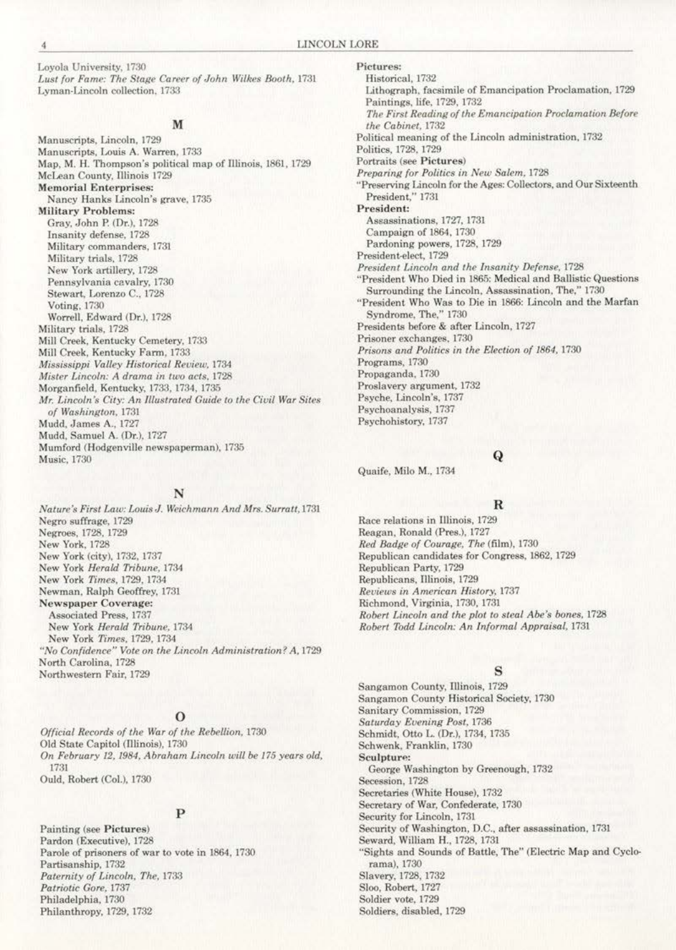**Loyola University, 1730**  Lust for Fame: The Stage Career of John Wilkes Booth, 1731 **Lyman-Lincoln collection. 1733** 

# M

**Manuscripts. Lincoln. 1729 Manuscripts, Louis A. Warren. 1733**  Map, M. H. Thompson's political map of Ulinois. 1861, 1729 McLean County, Illinois 1729 **Memorial Enterprises: Nancy Hanks Lincoln's grave, 1735 MiJitary Problems:**  Gray. John P. (Dr.). 1728 Insanity defense. 1728 **Milit..1.ry commanders, 1731**  Military trials. 1728 New York artillery. 1728 **Pennsylvania cavalry, 1730**  Stewart, Lorenzo C., 1728 Voting, 1730 Worrell. Edward (Dr.), 1728 Military trials. 1728 Mill Creek, Kentucky Cemetery, 1733 Mill Creek, Kentucky Farm. 1733 *Mississippi Valley Historiool Review,* **1734**  *Mister Lincoln: A drama in two acts, 1728* Morganfield, Kentucky, 1733, 1734, 1735 *Mr. l.incoln* **'s** *City: An lllustrall'd Guide to the Ciuil War Sites*   $of Washington$ , 1731 Mudd, James A., 1727 Mudd. Samuel A. (Dr.), 1727 Mumford (Hodgenville newspaperman), 1735 Music. 1730

#### N

*Nature's First Law: Louis J. Weichmann And Mrs. Surratt, 1731* Negro suffrage, 1729 Negroes. 1728. 1729 New York. 1728 New York (city), 1732, 1737 New York *Herald Tribune*, 1734 New York *Times*, 1729, 1734 Newman. Ralph Geoffrey, 1731 **Newspaper Coverage:**  Associated Press. 1737 New York *Herald Tribune,* 1734 New York *Times.* 1729. 1734 "No Confidence" Vote on the Lincoln Administration? A, 1729 North Carolina, 1728 Northwestern Pair, 1729

# $\rm _o$

*Official Records of the IVar of the Rebellion.* 1730 Old State Capitol (Illinois), 1730 On February 12, 1984, Abraham Lincoln will be 175 years old, 1731 Ould, Robert (Col.), 1730

# p

**Painting (see Pictures)**  Pardon (Executive), 1728 Parole of prisoners of war to vote in 1864, 1730 Partisanship, 1732 *Paternity of Lincoln, The.* 1733 *Patriotic Gore,* 1737 Philadelphia, 1730 Philanthropy, 1729, 1732

**Pictures:**  Historical, 1732 **Lithograph, facsimile of Emancipation Proclamation, 1729**  Paintings, life. 1729. 1732 *The First Reading of the Emancipation Proclamation &fore the Cabinet.* 1732 Political meaning of the Lincoln administration, 1732 Politics. 1728. 1729 Portraits (see Pictures) *Preparing for Politics in New Salem, 1728* "Preserving Lincoln for the Ages: Collectors, and Our Sixteenth President," 1731 **President:**  Assassinations, 1727, 1731 Campaign of 1864, 1730 Pardoning powers, 1728, 1729 President-elect, 1729 *President Lincoln and the Insanity Defense.* **1728**  "President Who Died in 1865: Medical and Ballistic Questions Surrounding the Lincoln, Assassination, The," 1730 **"President Who Was to Die in 1866: Lincoln and the Marfan**  Syndrome. The.'' 1730 Presidents before & after Lincoln, 1727 **Prisoner exchanges, 1730**  Prisons and Politics in the Election of 1864, 1730 Programs, 1730 Propaganda, 1730 Proslavery argument, 1732 Psyche, Lincoln's, 1737 **Psychoanalysis, 1737**  Psychohistory, 1737

Quaife, Milo M., 1734

# Q

# R

**Race relations in Illinois, 1729** Reagan. Ronald (Pres.), 1727 *Red Badge of Courage. The* (film), 1730 Republican candidates for Congress, 1862, 1729 Republican Party, 1729 Republicans. Illinois, 1729 **Reviews** *in American History,* **1737**  Richmond, Virginia. 1730, 1731 *Robert Lineoln and the plot to steal Abe's barres,* 1728 *Robert Tadd Lincoln: An Informal Appraisal.* 1731

# s

**Sangamon County, nlinoia, 1729**  Sangamon County Historical Society, 1730 **Sanitary Commission**, 1729  $Saturday$  *Evening Post, 1736* Schmidt, Otto L. (Dr.), 1734, 1735 Schwenk, Franklin, 1730 **Sculpture:**  George Washington by Greenough, 1732 Secession, 1728 Secretaries (White House), 1732 Secretary of War, Confederate, 1730 Security for Lincoln, 1731 Security of Washington, D.C., after assassination, 1731 Seward, William H., 1728, 1731 "Sights and Sounds of Battle, The" (Electric Map and Cyclorama). 1730 Slavery, 1728, 1732 Sloo, Robert, 1727 Soldier vote, 1729 Soldiers, disabled, 1729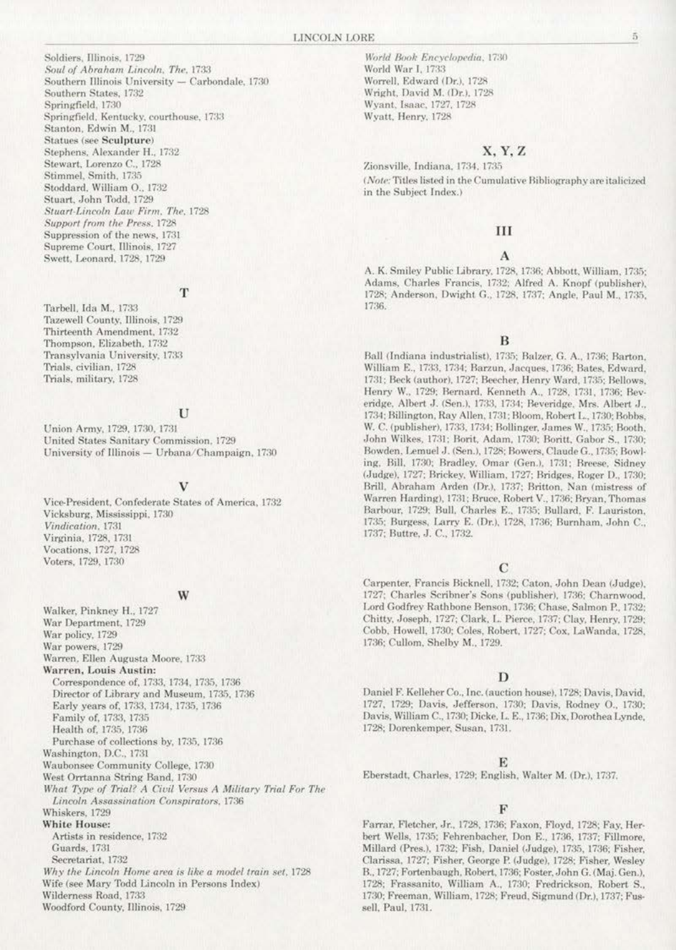Soldiers, Illinois, 1729 Soul of Abraham Lincoln, The, 1733 Southern Illinois University - Carbondale, 1730 Southern States, 1732 Springfield, 1730 Springfield, Kentucky, courthouse, 1733 Stanton, Edwin M., 1731 Statues (see Sculpture) Stephens, Alexander H., 1732 Stewart, Lorenzo C., 1728 Stimmel, Smith, 1735 Stoddard, William O., 1732 Stuart, John Todd, 1729 Stuart-Lincoln Law Firm, The, 1728 Support from the Press, 1728 Suppression of the news, 1731 Supreme Court, Illinois, 1727 Swett, Leonard, 1728, 1729

T

Tarbell, Ida M., 1733 Tazewell County, Illinois, 1729 Thirteenth Amendment, 1732 Thompson, Elizabeth, 1732 Transylvania University, 1733 Trials, civilian, 1728 Trials, military, 1728

#### U

Union Army, 1729, 1730, 1731 United States Sanitary Commission, 1729 University of Illinois - Urbana/Champaign, 1730

#### v

Vice-President, Confederate States of America, 1732 Vicksburg, Mississippi, 1730 Vindication, 1731 Virginia, 1728, 1731 Vocations, 1727, 1728 Voters, 1729, 1730

### W

Walker, Pinkney H., 1727 War Department, 1729 War policy, 1729 War powers, 1729 Warren, Ellen Augusta Moore, 1733 Warren, Louis Austin: Correspondence of, 1733, 1734, 1735, 1736 Director of Library and Museum, 1735, 1736 Early years of, 1733, 1734, 1735, 1736 Family of, 1733, 1735 Health of, 1735, 1736 Purchase of collections by, 1735, 1736 Washington, D.C., 1731 Waubonsee Community College, 1730 West Orrtanna String Band, 1730 What Type of Trial? A Civil Versus A Military Trial For The Lincoln Assassination Conspirators, 1736 Whiskers, 1729 White House: Artists in residence, 1732 Guards, 1731 Secretariat, 1732 Why the Lincoln Home area is like a model train set, 1728 Wife (see Mary Todd Lincoln in Persons Index) Wilderness Road, 1733

Woodford County, Illinois, 1729

World Book Encyclopedia, 1730 World War I, 1733 Worrell, Edward (Dr.), 1728 Wright, David M. (Dr.), 1728 Wyant, Isaac, 1727, 1728 Wyatt, Henry, 1728

#### X, Y, Z

Zionsville, Indiana, 1734, 1735 (Note: Titles listed in the Cumulative Bibliography are italicized in the Subject Index.)

#### Ш

#### A

A. K. Smiley Public Library, 1728, 1736; Abbott, William, 1735; Adams, Charles Francis, 1732; Alfred A. Knopf (publisher), 1728; Anderson, Dwight G., 1728, 1737; Angle, Paul M., 1735, 1736.

#### в

Ball (Indiana industrialist), 1735; Balzer, G. A., 1736; Barton, William E., 1733, 1734; Barzun, Jacques, 1736; Bates, Edward, 1731; Beck (author), 1727; Beecher, Henry Ward, 1735; Bellows, Henry W., 1729; Bernard, Kenneth A., 1728, 1731, 1736; Beveridge, Albert J. (Sen.), 1733, 1734; Beveridge, Mrs. Albert J., 1734; Billington, Ray Allen, 1731; Bloom, Robert L., 1730; Bobbs, W. C. (publisher), 1733, 1734; Bollinger, James W., 1735; Booth, John Wilkes, 1731; Borit, Adam, 1730; Boritt, Gabor S., 1730; Bowden, Lemuel J. (Sen.), 1728; Bowers, Claude G., 1735; Bowling, Bill, 1730; Bradley, Omar (Gen.), 1731; Breese, Sidney (Judge), 1727; Brickey, William, 1727; Bridges, Roger D., 1730; Brill, Abraham Arden (Dr.), 1737; Britton, Nan (mistress of Warren Harding), 1731; Bruce, Robert V., 1736; Bryan, Thomas Barbour, 1729; Bull, Charles E., 1735; Bullard, F. Lauriston, 1735; Burgess, Larry E. (Dr.), 1728, 1736; Burnham, John C., 1737; Buttre, J. C., 1732.

# $\mathbf C$

Carpenter, Francis Bicknell, 1732; Caton, John Dean (Judge), 1727; Charles Scribner's Sons (publisher), 1736; Charnwood, Lord Godfrey Rathbone Benson, 1736; Chase, Salmon P., 1732; Chitty, Joseph, 1727; Clark, L. Pierce, 1737; Clay, Henry, 1729; Cobb, Howell, 1730; Coles, Robert, 1727; Cox, LaWanda, 1728, 1736; Cullom, Shelby M., 1729.

#### D

Daniel F. Kelleher Co., Inc. (auction house), 1728; Davis, David, 1727, 1729; Davis, Jefferson, 1730; Davis, Rodney O., 1730; Davis, William C., 1730; Dicke, L. E., 1736; Dix, Dorothea Lynde, 1728; Dorenkemper, Susan, 1731.

#### Е

Eberstadt, Charles, 1729; English, Walter M. (Dr.), 1737.

#### $F$

Farrar, Fletcher, Jr., 1728, 1736; Faxon, Floyd, 1728; Fay, Herbert Wells, 1735; Fehrenbacher, Don E., 1736, 1737; Fillmore, Millard (Pres.), 1732; Fish, Daniel (Judge), 1735, 1736; Fisher, Clarissa, 1727; Fisher, George P. (Judge), 1728; Fisher, Wesley B., 1727; Fortenbaugh, Robert, 1736; Foster, John G. (Maj. Gen.), 1728; Frassanito, William A., 1730; Fredrickson, Robert S., 1730; Freeman, William, 1728; Freud, Sigmund (Dr.), 1737; Fussell, Paul, 1731.